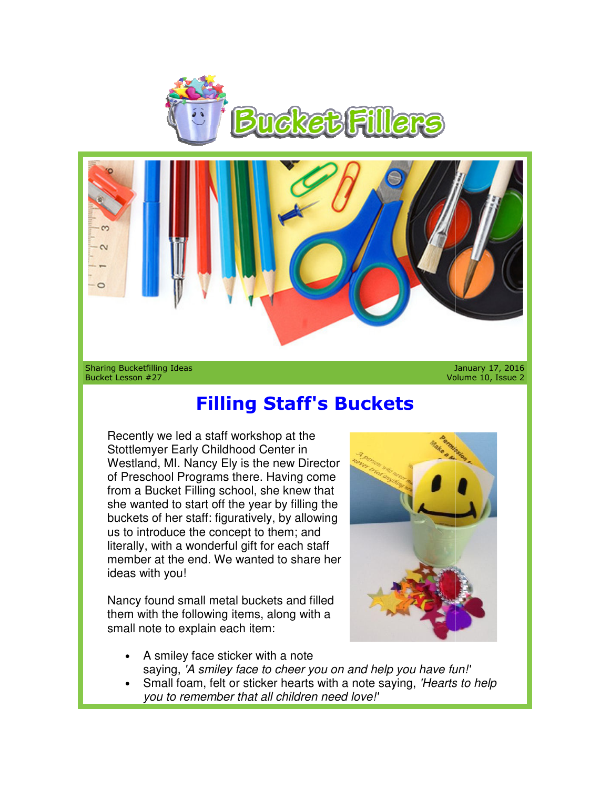



Sharing Bucketfilling Ideas Bucket Lesson #27

January 17, 2016 Volume 10, Issue 2

## **Filling Staff's Buckets Filling Staff's Buckets**

Recently we led a staff workshop at the Stottlemyer Early Childhood Center in Recently we led a staff workshop at the<br>Stottlemyer Early Childhood Center in<br>Westland, MI. Nancy Ely is the new Director of Preschool Programs there. Having come from a Bucket Filling school, she knew that she wanted to start off the year by filling the buckets of her staff: figuratively, by allowing us to introduce the concept to them; and literally, with a wonderful gift for each staff member at the end. We wanted to share her ideas with you!

Nancy found small metal buckets and filled them with the following items, along with a small note to explain each item: with a wonderful<br>at the end. We w<br>h you!<br>und small metal<br>n the following ite<br>e to explain eacl<br>smiley face stick



- A smiley face sticker with a note saying, 'A smiley face to cheer you on and help you have fun!'
- Small foam, felt or sticker hearts with a note saying, 'Hearts to help you to remember that all children need love!'